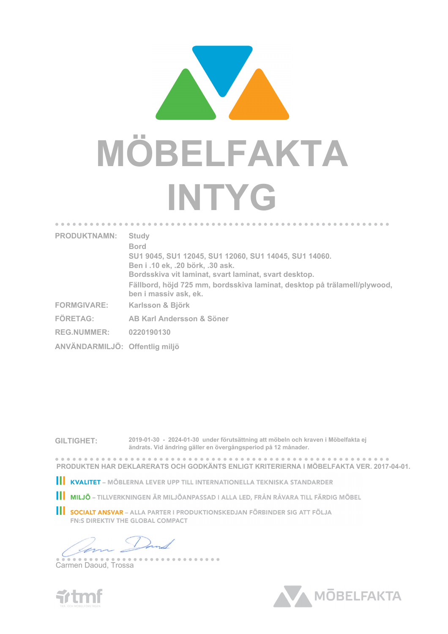

| <b>PRODUKTNAMN:</b>            | <b>Study</b><br><b>Bord</b>                                                                       |
|--------------------------------|---------------------------------------------------------------------------------------------------|
|                                | SU1 9045, SU1 12045, SU1 12060, SU1 14045, SU1 14060.                                             |
|                                | Ben i .10 ek, .20 börk, .30 ask.                                                                  |
|                                | Bordsskiva vit laminat, svart laminat, svart desktop.                                             |
|                                | Fällbord, höjd 725 mm, bordsskiva laminat, desktop på trälamell/plywood,<br>ben i massiv ask, ek. |
| <b>FORMGIVARE:</b>             | Karlsson & Björk                                                                                  |
| <b>FÖRETAG:</b>                | AB Karl Andersson & Söner                                                                         |
| <b>REG.NUMMER:</b>             | 0220190130                                                                                        |
| ANVÄNDARMILJÖ: Offentlig miljö |                                                                                                   |
|                                |                                                                                                   |

**GILTIGHET: 2019-01-30 - 2024-01-30 under förutsättning att möbeln och kraven i Möbelfakta ej ändrats. Vid ändring gäller en övergångsperiod på 12 månader.**

. . . . . . . . **PRODUKTEN HAR DEKLARERATS OCH GODKÄNTS ENLIGT KRITERIERNA I MÖBELFAKTA VER. 2017-04-01.**

**III KVALITET** – MÖBLERNA LEVER UPP TILL INTERNATIONELLA TEKNISKA STANDARDER

**III MILJÖ** – TILLVERKNINGEN ÄR MILJÖANPASSAD I ALLA LED, FRÅN RÅVARA TILL FÄRDIG MÖBEL

SOCIALT ANSVAR - ALLA PARTER I PRODUKTIONSKEDJAN FÖRBINDER SIG ATT FÖLJA **FN:S DIREKTIV THE GLOBAL COMPACT** 

--------

Carmen Daoud, Trossa